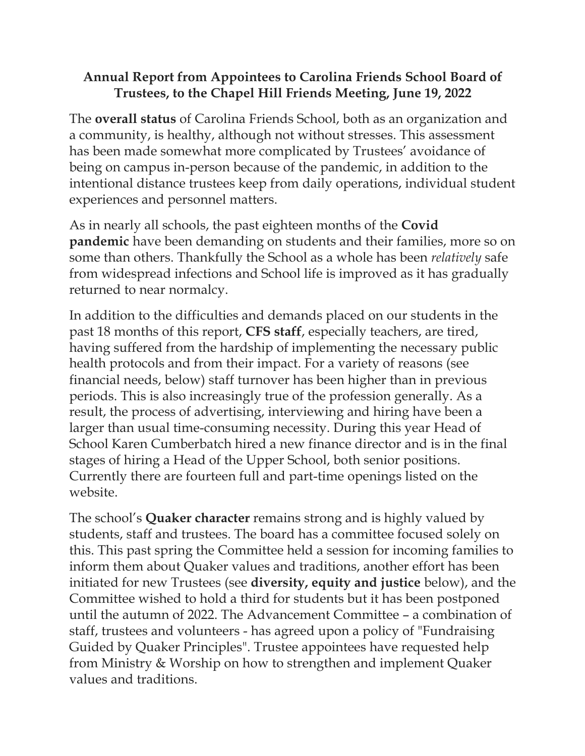## **Annual Report from Appointees to Carolina Friends School Board of Trustees, to the Chapel Hill Friends Meeting, June 19, 2022**

The **overall status** of Carolina Friends School, both as an organization and a community, is healthy, although not without stresses. This assessment has been made somewhat more complicated by Trustees' avoidance of being on campus in-person because of the pandemic, in addition to the intentional distance trustees keep from daily operations, individual student experiences and personnel matters.

As in nearly all schools, the past eighteen months of the **Covid pandemic** have been demanding on students and their families, more so on some than others. Thankfully the School as a whole has been *relatively* safe from widespread infections and School life is improved as it has gradually returned to near normalcy.

In addition to the difficulties and demands placed on our students in the past 18 months of this report, **CFS staff**, especially teachers, are tired, having suffered from the hardship of implementing the necessary public health protocols and from their impact. For a variety of reasons (see financial needs, below) staff turnover has been higher than in previous periods. This is also increasingly true of the profession generally. As a result, the process of advertising, interviewing and hiring have been a larger than usual time-consuming necessity. During this year Head of School Karen Cumberbatch hired a new finance director and is in the final stages of hiring a Head of the Upper School, both senior positions. Currently there are fourteen full and part-time openings listed on the website.

The school's **Quaker character** remains strong and is highly valued by students, staff and trustees. The board has a committee focused solely on this. This past spring the Committee held a session for incoming families to inform them about Quaker values and traditions, another effort has been initiated for new Trustees (see **diversity, equity and justice** below), and the Committee wished to hold a third for students but it has been postponed until the autumn of 2022. The Advancement Committee – a combination of staff, trustees and volunteers - has agreed upon a policy of "Fundraising Guided by Quaker Principles". Trustee appointees have requested help from Ministry & Worship on how to strengthen and implement Quaker values and traditions.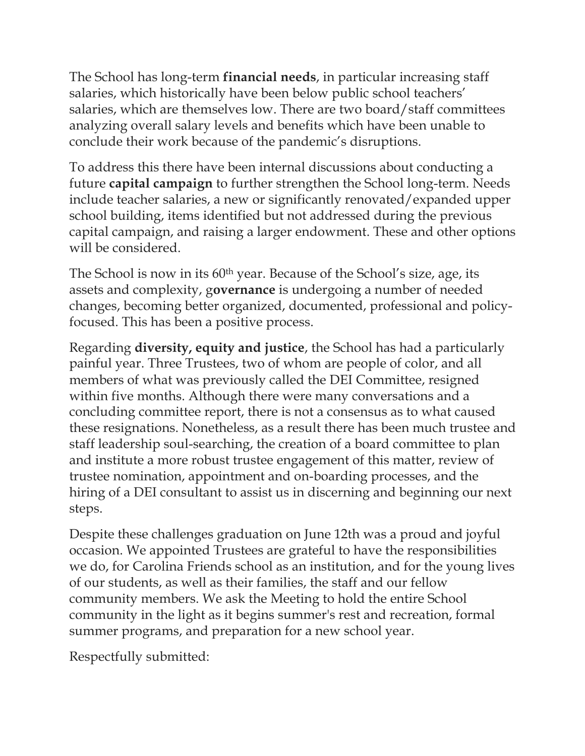The School has long-term **financial needs**, in particular increasing staff salaries, which historically have been below public school teachers' salaries, which are themselves low. There are two board/staff committees analyzing overall salary levels and benefits which have been unable to conclude their work because of the pandemic's disruptions.

To address this there have been internal discussions about conducting a future **capital campaign** to further strengthen the School long-term. Needs include teacher salaries, a new or significantly renovated/expanded upper school building, items identified but not addressed during the previous capital campaign, and raising a larger endowment. These and other options will be considered.

The School is now in its 60th year. Because of the School's size, age, its assets and complexity, g**overnance** is undergoing a number of needed changes, becoming better organized, documented, professional and policyfocused. This has been a positive process.

Regarding **diversity, equity and justice**, the School has had a particularly painful year. Three Trustees, two of whom are people of color, and all members of what was previously called the DEI Committee, resigned within five months. Although there were many conversations and a concluding committee report, there is not a consensus as to what caused these resignations. Nonetheless, as a result there has been much trustee and staff leadership soul-searching, the creation of a board committee to plan and institute a more robust trustee engagement of this matter, review of trustee nomination, appointment and on-boarding processes, and the hiring of a DEI consultant to assist us in discerning and beginning our next steps.

Despite these challenges graduation on June 12th was a proud and joyful occasion. We appointed Trustees are grateful to have the responsibilities we do, for Carolina Friends school as an institution, and for the young lives of our students, as well as their families, the staff and our fellow community members. We ask the Meeting to hold the entire School community in the light as it begins summer's rest and recreation, formal summer programs, and preparation for a new school year.

Respectfully submitted: